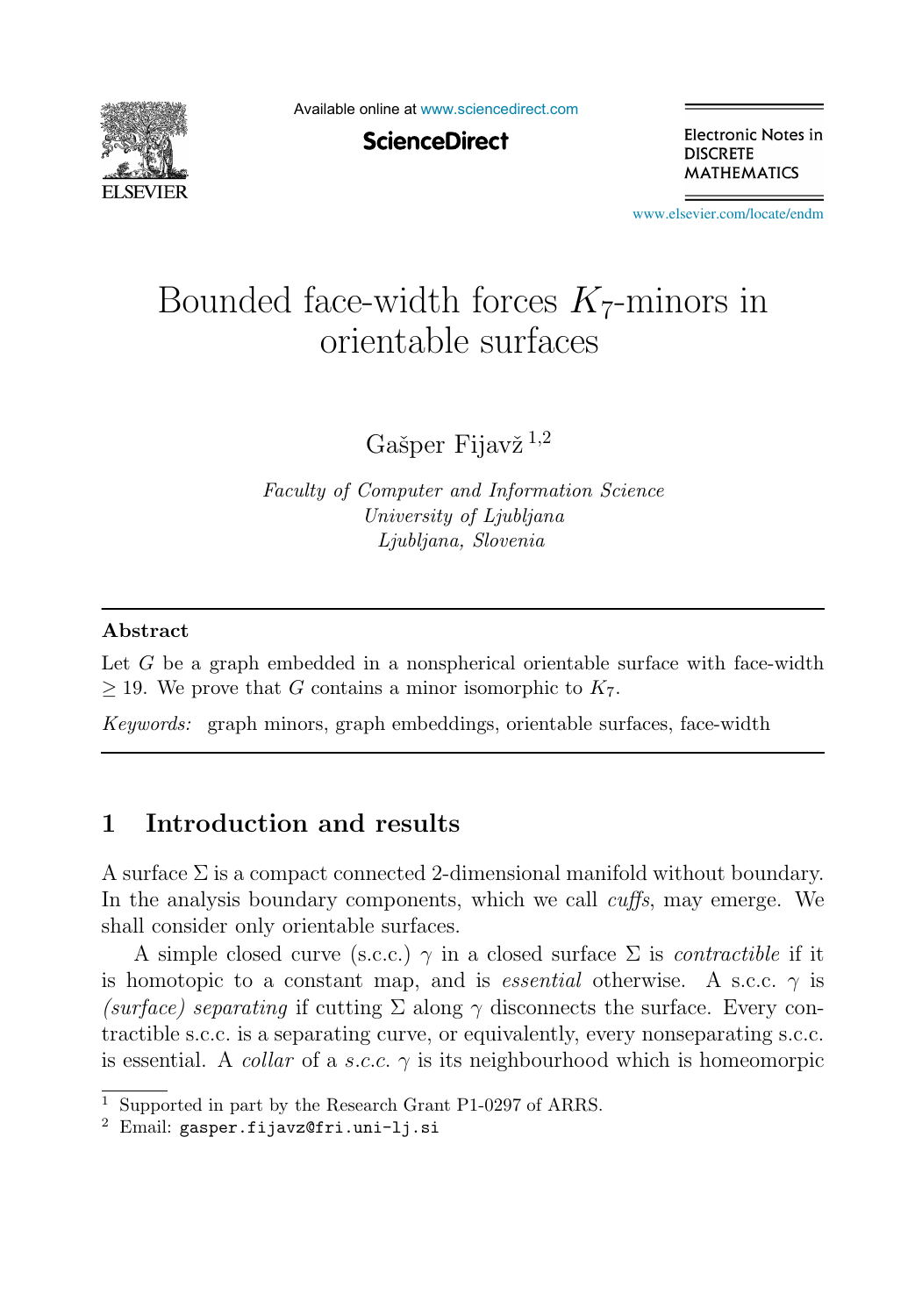

Available online at [www.sciencedirect.com](http://www.sciencedirect.com)

**ScienceDirect** 

Electronic Notes in **DISCRETE MATHEMATICS** 

[www.elsevier.com/locate/endm](http://www.elsevier.com/locate/endm)

# Bounded face-width forces  $K_7$ -minors in orientable surfaces

Gašper Fijav $\check{z}^{1,2}$ 

Faculty of Computer and Information Science University of Ljubljana Ljubljana, Slovenia

#### **Abstract**

Let G be a graph embedded in a nonspherical orientable surface with face-width  $>$  19. We prove that G contains a minor isomorphic to  $K_7$ .

Keywords: graph minors, graph embeddings, orientable surfaces, face-width

## **1 Introduction and results**

A surface  $\Sigma$  is a compact connected 2-dimensional manifold without boundary. In the analysis boundary components, which we call *cuffs*, may emerge. We shall consider only orientable surfaces.

A simple closed curve (s.c.c.)  $\gamma$  in a closed surface  $\Sigma$  is *contractible* if it is homotopic to a constant map, and is *essential* otherwise. A s.c.c.  $\gamma$  is (surface) separating if cutting  $\Sigma$  along  $\gamma$  disconnects the surface. Every contractible s.c.c. is a separating curve, or equivalently, every nonseparating s.c.c. is essential. A *collar* of a s.c.c.  $\gamma$  is its neighbourhood which is homeomorpic

<sup>&</sup>lt;sup>1</sup> Supported in part by the Research Grant P1-0297 of ARRS.<br><sup>2</sup> Email: gasper.fijavz@fri.uni-lj.si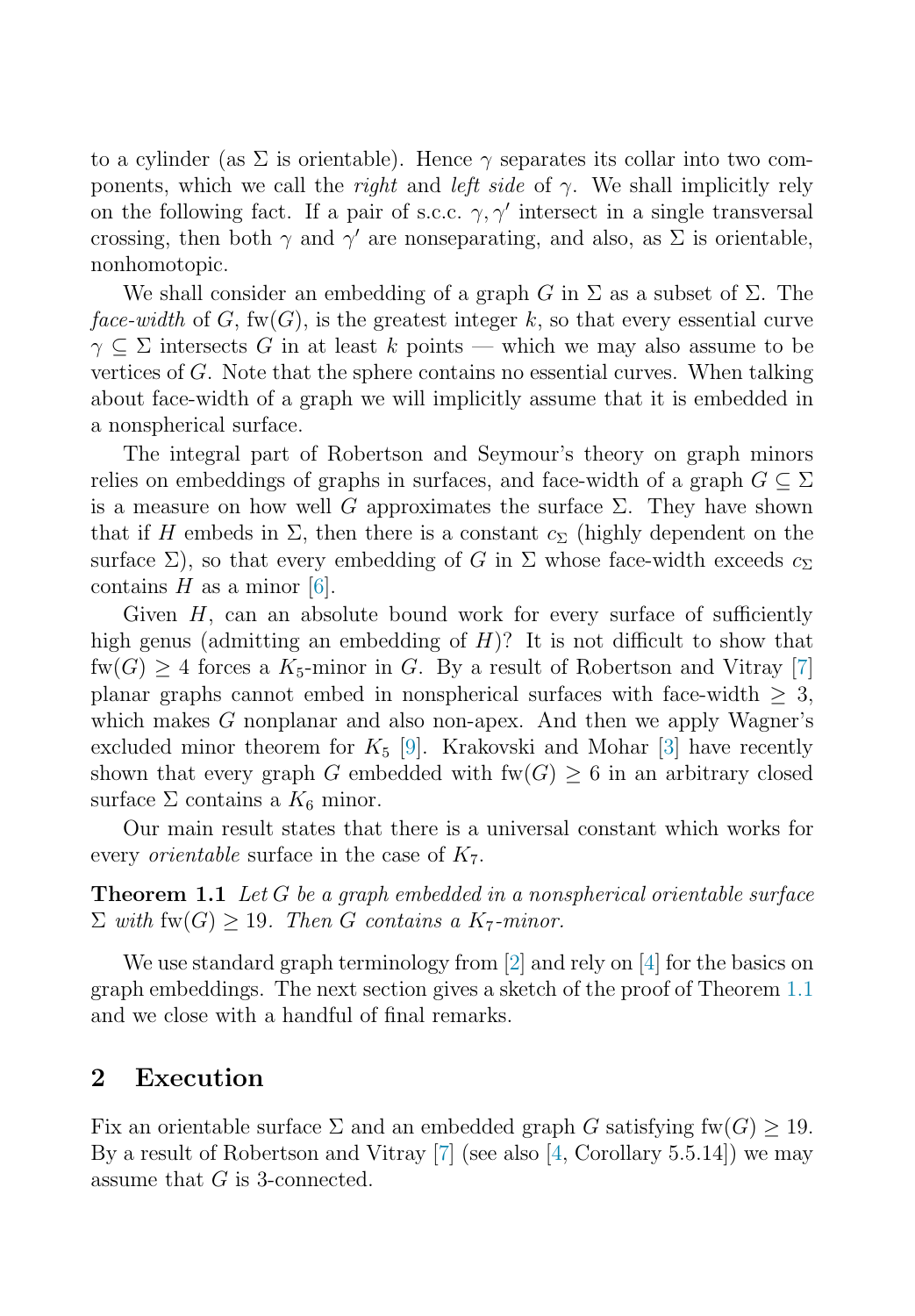<span id="page-1-0"></span>to a cylinder (as  $\Sigma$  is orientable). Hence  $\gamma$  separates its collar into two components, which we call the *right* and *left side* of  $\gamma$ . We shall implicitly rely on the following fact. If a pair of s.c.c.  $\gamma$ ,  $\gamma'$  intersect in a single transversal<br>crossing then both  $\gamma$  and  $\gamma'$  are ponseparating and also as  $\Sigma$  is orientable crossing, then both  $\gamma$  and  $\gamma'$  are nonseparating, and also, as  $\Sigma$  is orientable, nonhomotopic nonhomotopic.

We shall consider an embedding of a graph G in  $\Sigma$  as a subset of  $\Sigma$ . The face-width of G,  $fw(G)$ , is the greatest integer k, so that every essential curve  $\gamma \subset \Sigma$  intersects G in at least k points — which we may also assume to be vertices of  $G$ . Note that the sphere contains no essential curves. When talking about face-width of a graph we will implicitly assume that it is embedded in a nonspherical surface.

The integral part of Robertson and Seymour's theory on graph minors relies on embeddings of graphs in surfaces, and face-width of a graph  $G \subseteq \Sigma$ is a measure on how well G approximates the surface  $\Sigma$ . They have shown that if H embeds in  $\Sigma$ , then there is a constant  $c_{\Sigma}$  (highly dependent on the surface  $\Sigma$ ), so that every embedding of G in  $\Sigma$  whose face-width exceeds  $c_{\Sigma}$ contains  $H$  as a minor [\[6\]](#page-7-0).

Given  $H$ , can an absolute bound work for every surface of sufficiently high genus (admitting an embedding of  $H$ )? It is not difficult to show that  $fw(G) \geq 4$  forces a  $K_5$ -minor in G. By a result of Robertson and Vitray [\[7\]](#page-7-0) planar graphs cannot embed in nonspherical surfaces with face-width  $>$  3, which makes  $G$  nonplanar and also non-apex. And then we apply Wagner's excluded minor theorem for  $K_5$  [\[9\]](#page-7-0). Krakovski and Mohar [\[3\]](#page-7-0) have recently shown that every graph G embedded with  $fw(G) \geq 6$  in an arbitrary closed surface  $\Sigma$  contains a  $K_6$  minor.

Our main result states that there is a universal constant which works for every *orientable* surface in the case of  $K_7$ .

**Theorem 1.1** Let G be a graph embedded in a nonspherical orientable surface  $\Sigma$  with fw(G)  $\geq$  19. Then G contains a K<sub>7</sub>-minor.

We use standard graph terminology from [\[2\]](#page-7-0) and rely on [\[4\]](#page-7-0) for the basics on graph embeddings. The next section gives a sketch of the proof of Theorem 1.1 and we close with a handful of final remarks.

#### **2 Execution**

Fix an orientable surface  $\Sigma$  and an embedded graph G satisfying fw(G)  $> 19$ . By a result of Robertson and Vitray [\[7\]](#page-7-0) (see also [\[4,](#page-7-0) Corollary 5.5.14]) we may assume that G is 3-connected.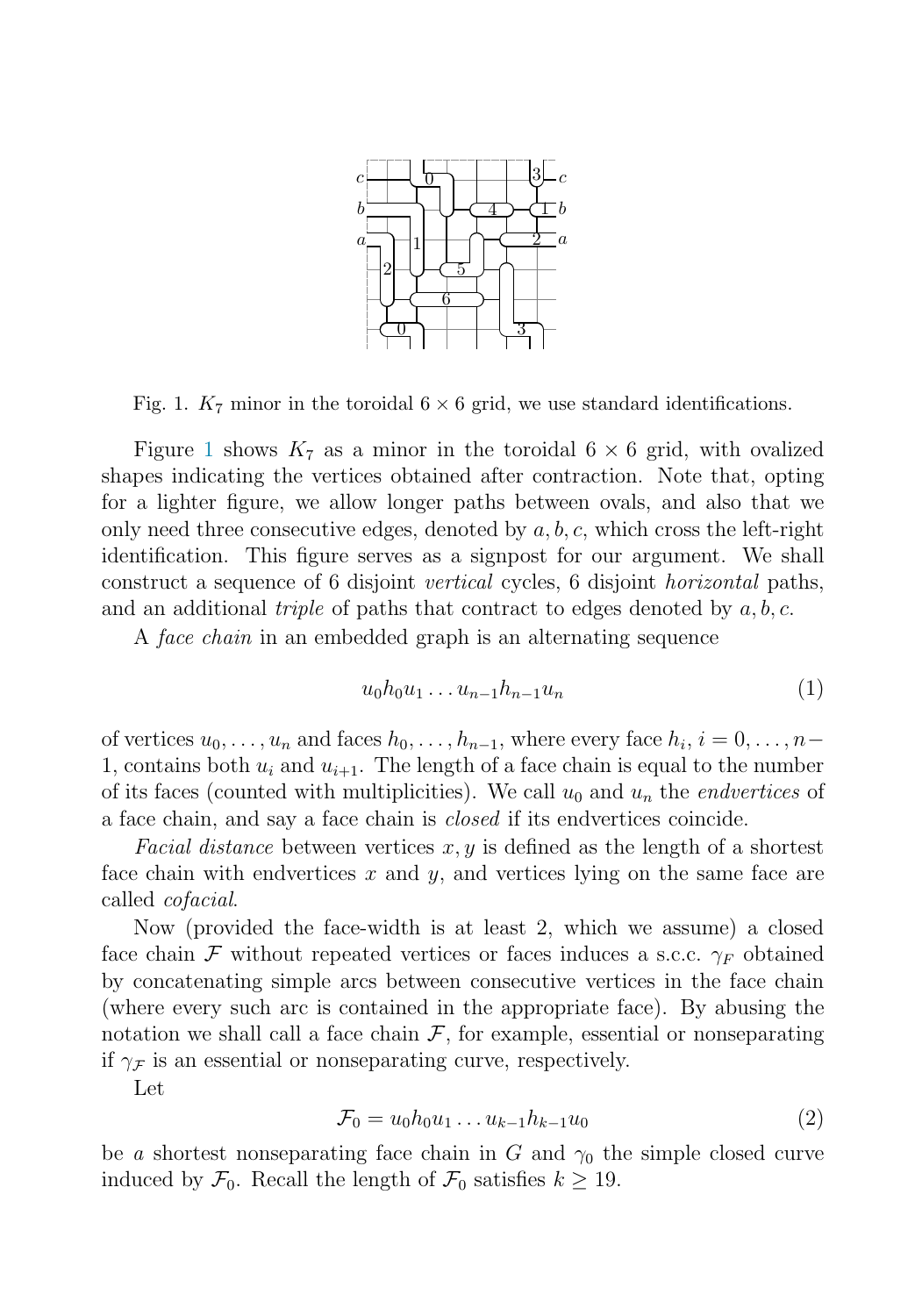<span id="page-2-0"></span>

Fig. 1.  $K_7$  minor in the toroidal  $6 \times 6$  grid, we use standard identifications.

Figure 1 shows  $K_7$  as a minor in the toroidal  $6 \times 6$  grid, with ovalized shapes indicating the vertices obtained after contraction. Note that, opting for a lighter figure, we allow longer paths between ovals, and also that we only need three consecutive edges, denoted by  $a, b, c$ , which cross the left-right identification. This figure serves as a signpost for our argument. We shall construct a sequence of 6 disjoint vertical cycles, 6 disjoint horizontal paths, and an additional *triple* of paths that contract to edges denoted by  $a, b, c$ .

A face chain in an embedded graph is an alternating sequence

$$
u_0 h_0 u_1 \dots u_{n-1} h_{n-1} u_n \tag{1}
$$

of vertices  $u_0, \ldots, u_n$  and faces  $h_0, \ldots, h_{n-1}$ , where every face  $h_i, i = 0, \ldots, n-1$ 1, contains both  $u_i$  and  $u_{i+1}$ . The length of a face chain is equal to the number of its faces (counted with multiplicities). We call  $u_0$  and  $u_n$  the *endvertices* of a face chain, and say a face chain is closed if its endvertices coincide.

Facial distance between vertices  $x, y$  is defined as the length of a shortest face chain with endvertices  $x$  and  $y$ , and vertices lying on the same face are called cofacial.

Now (provided the face-width is at least 2, which we assume) a closed face chain F without repeated vertices or faces induces a s.c.c.  $\gamma_F$  obtained by concatenating simple arcs between consecutive vertices in the face chain (where every such arc is contained in the appropriate face). By abusing the notation we shall call a face chain  $F$ , for example, essential or nonseparating if  $\gamma_{\mathcal{F}}$  is an essential or nonseparating curve, respectively.

Let

$$
\mathcal{F}_0 = u_0 h_0 u_1 \dots u_{k-1} h_{k-1} u_0 \tag{2}
$$

be a shortest nonseparating face chain in G and  $\gamma_0$  the simple closed curve induced by  $\mathcal{F}_0$ . Recall the length of  $\mathcal{F}_0$  satisfies  $k \geq 19$ .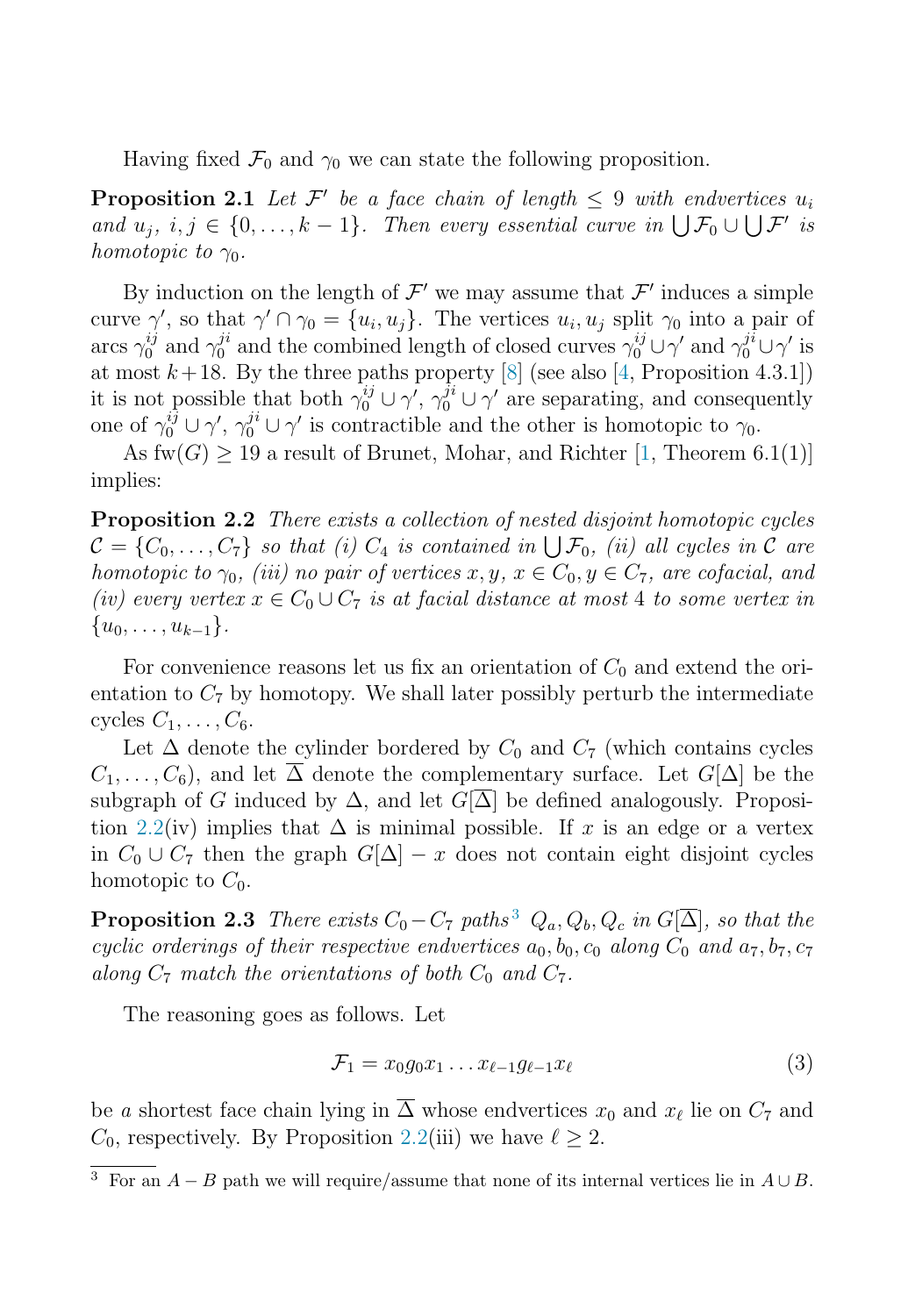<span id="page-3-0"></span>Having fixed  $\mathcal{F}_0$  and  $\gamma_0$  we can state the following proposition.

**Proposition 2.1** Let  $\mathcal{F}'$  be a face chain of length  $\leq 9$  with endvertices  $u_i$ <br>and  $u_i \, i \in \{0, \ldots, k-1\}$ . Then every essential curve in  $\mathbb{E}[F_k] \cup \mathbb{E}[F_k]$ and  $u_j, i, j \in \{0, ..., k-1\}$ . Then every essential curve in  $\bigcup \mathcal{F}_0 \cup \bigcup \mathcal{F}'$  is<br>homotonic to  $\infty$ homotopic to  $\gamma_0$ .

By induction on the length of  $\mathcal{F}'$  we may assume that  $\mathcal{F}'$  induces a simple curve  $\gamma'$ , so that  $\gamma' \cap \gamma_0 = \{u_i, u_j\}$ . The vertices  $u_i, u_j$  split  $\gamma_0$  into a pair of arcs  $\gamma^{ij}$  and  $\gamma^{ji}$  and the combined length of closed curves  $\gamma^{ij}$   $\mid \gamma'$  and  $\gamma^{ji} \mid \gamma'$  is arcs  $\gamma_0^{ij}$  and  $\gamma_0^{ji}$  and the combined length of closed curves  $\gamma_0^{ij} \cup \gamma'$  and  $\gamma_0^{ji} \cup \gamma'$  is<br>at most  $k+18$ . By the three paths property [8] (see also [4] Proposition 4.3.1]) at most  $k+18$ . By the three paths property [\[8\]](#page-7-0) (see also [\[4,](#page-7-0) Proposition 4.3.1]) it is not possible that both  $\gamma_0^{ij} \cup \gamma'$ ,  $\gamma_0^{ji} \cup \gamma'$  are separating, and consequently<br>one of  $\gamma_0^{ij} \cup \gamma'$  is contractible and the other is homotopic to  $\gamma_0$ one of  $\gamma_0^{ij} \cup \gamma'$ ,  $\gamma_0^{ji} \cup \gamma'$  is contractible and the other is homotopic to  $\gamma_0$ .<br>As fur(C) > 10.2 result of Brunet Mobar, and Bichter [1. Theorem 6

As  $fw(G) > 19$  a result of Brunet, Mohar, and Richter [\[1,](#page-7-0) Theorem 6.1(1)] implies:

**Proposition 2.2** There exists a collection of nested disjoint homotopic cycles  $\mathcal{C} = \{C_0, \ldots, C_7\}$  so that (i)  $C_4$  is contained in  $\bigcup \mathcal{F}_0$ , (ii) all cycles in  $\mathcal{C}$  are homotonic to  $\infty$ , (iii) no pair of vertices  $x, y, x \in C_2, y \in C_7$  are cofacial and homotopic to  $\gamma_0$ , (iii) no pair of vertices x, y,  $x \in C_0, y \in C_7$ , are cofacial, and (iv) every vertex  $x \in C_0 \cup C_7$  is at facial distance at most 4 to some vertex in  $\{u_0,\ldots,u_{k-1}\}.$ 

For convenience reasons let us fix an orientation of  $C_0$  and extend the orientation to  $C_7$  by homotopy. We shall later possibly perturb the intermediate cycles  $C_1, \ldots, C_6$ .

Let  $\Delta$  denote the cylinder bordered by  $C_0$  and  $C_7$  (which contains cycles  $C_1,\ldots,C_6$ , and let  $\overline{\Delta}$  denote the complementary surface. Let  $G[\Delta]$  be the subgraph of G induced by  $\Delta$ , and let  $G[\Delta]$  be defined analogously. Proposition 2.2(iv) implies that  $\Delta$  is minimal possible. If x is an edge or a vertex in  $C_0 \cup C_7$  then the graph  $G[\Delta] - x$  does not contain eight disjoint cycles homotopic to  $C_0$ .

**Proposition 2.3** There exists  $C_0 - C_7$  paths<sup>3</sup>  $Q_a, Q_b, Q_c$  in  $G[\overline{\Delta}]$ , so that the cyclic orderings of their respective endvertices  $a_0, b_0, c_0$  along  $C_0$  and  $a_7, b_7, c_7$ along  $C_7$  match the orientations of both  $C_0$  and  $C_7$ .

The reasoning goes as follows. Let

$$
\mathcal{F}_1 = x_0 g_0 x_1 \dots x_{\ell-1} g_{\ell-1} x_\ell \tag{3}
$$

be a shortest face chain lying in  $\overline{\Delta}$  whose endvertices  $x_0$  and  $x_\ell$  lie on  $C_7$  and  $C_8$  respectively. By Proposition 2.2(iii) we have  $\ell > 2$  $C_0$ , respectively. By Proposition 2.2(iii) we have  $\ell \geq 2$ .

 $\overline{3 \text{ For an } A - B \text{ path we will require/assume that none of its internal vertices lie in } A \cup B.$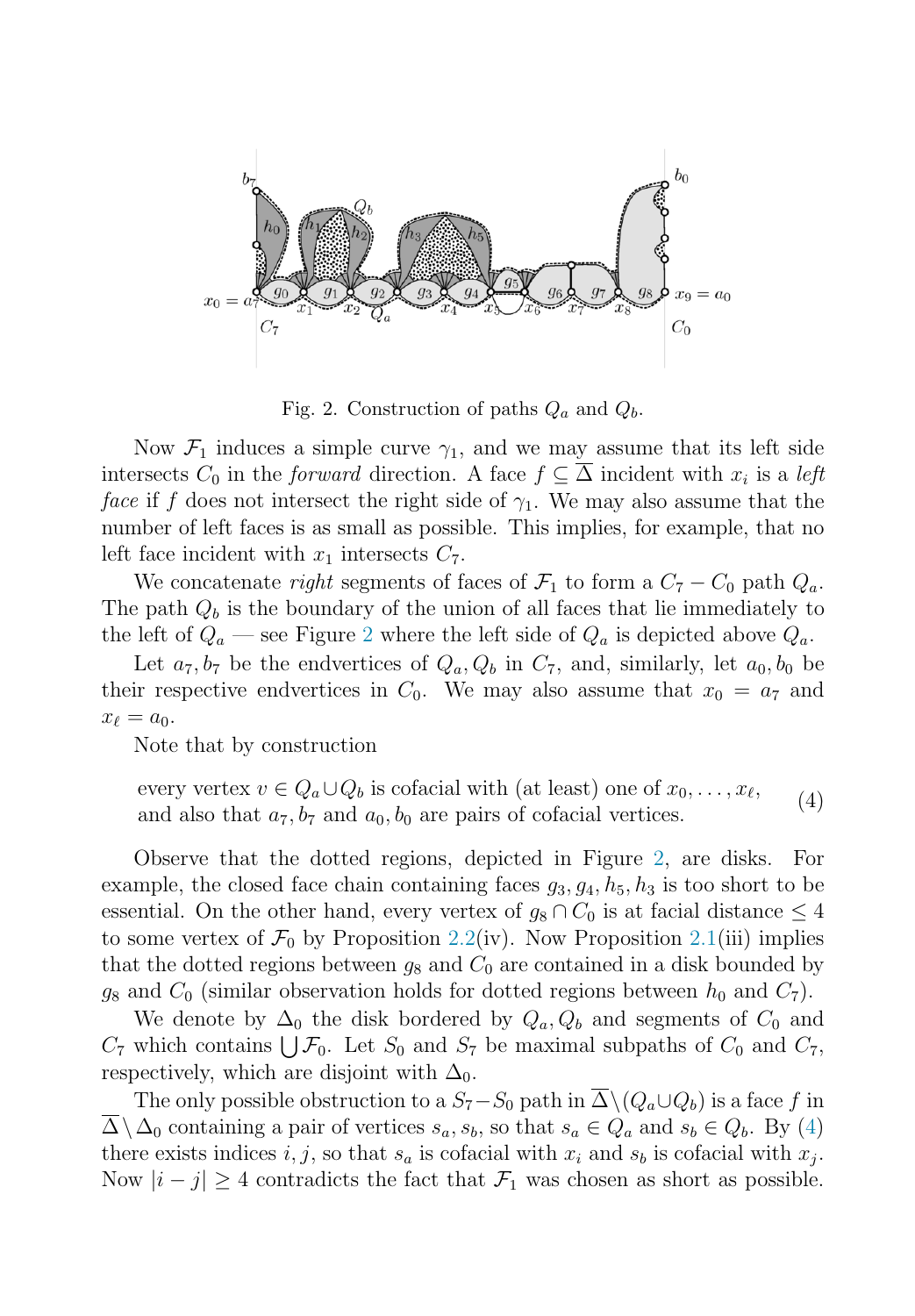

Fig. 2. Construction of paths  $Q_a$  and  $Q_b$ .

Now  $\mathcal{F}_1$  induces a simple curve  $\gamma_1$ , and we may assume that its left side intersects  $C_0$  in the *forward* direction. A face  $f \subseteq \overline{\Delta}$  incident with  $x_i$  is a *left* face if f does not intersect the right side of  $\gamma_1$ . We may also assume that the number of left faces is as small as possible. This implies, for example, that no left face incident with  $x_1$  intersects  $C_7$ .

We concatenate right segments of faces of  $\mathcal{F}_1$  to form a  $C_7 - C_0$  path  $Q_a$ . The path  $Q_b$  is the boundary of the union of all faces that lie immediately to the left of  $Q_a$  — see Figure 2 where the left side of  $Q_a$  is depicted above  $Q_a$ .

Let  $a_7, b_7$  be the endvertices of  $Q_a, Q_b$  in  $C_7$ , and, similarly, let  $a_0, b_0$  be their respective endvertices in  $C_0$ . We may also assume that  $x_0 = a_7$  and  $x_{\ell} = a_0.$ <br>Note

Note that by construction

every vertex  $v \in Q_a \cup Q_b$  is cofacial with (at least) one of  $x_0, \ldots, x_{\ell}$ ,<br>and also that  $a_{\tau}$  be and  $a_{\ell}$  be are pairs of cofacial vertices and also that  $a_7, b_7$  and  $a_0, b_0$  are pairs of cofacial vertices. (4)

Observe that the dotted regions, depicted in Figure 2, are disks. For example, the closed face chain containing faces  $g_3, g_4, h_5, h_3$  is too short to be essential. On the other hand, every vertex of  $g_8 \cap C_0$  is at facial distance  $\leq 4$ to some vertex of  $\mathcal{F}_0$  by Proposition [2.2\(](#page-3-0)iv). Now Proposition [2.1\(](#page-3-0)iii) implies that the dotted regions between  $g_8$  and  $C_0$  are contained in a disk bounded by  $g_8$  and  $C_0$  (similar observation holds for dotted regions between  $h_0$  and  $C_7$ ).

We denote by  $\Delta_0$  the disk bordered by  $Q_a, Q_b$  and segments of  $C_0$  and  $C_7$  which contains  $\bigcup \mathcal{F}_0$ . Let  $S_0$  and  $S_7$  be maximal subpaths of  $C_0$  and  $C_7$ , respectively which are disjoint with  $\Delta_5$ respectively, which are disjoint with  $\Delta_0$ .

The only possible obstruction to a  $S_7-S_0$  path in  $\overline{\Delta} \setminus (Q_a \cup Q_b)$  is a face f in  $\overline{\Delta}\setminus\Delta_0$  containing a pair of vertices  $s_a, s_b$ , so that  $s_a \in Q_a$  and  $s_b \in Q_b$ . By (4) there exists indices i, j, so that  $s_a$  is cofacial with  $x_i$  and  $s_b$  is cofacial with  $x_j$ . Now  $|i - j| \geq 4$  contradicts the fact that  $\mathcal{F}_1$  was chosen as short as possible.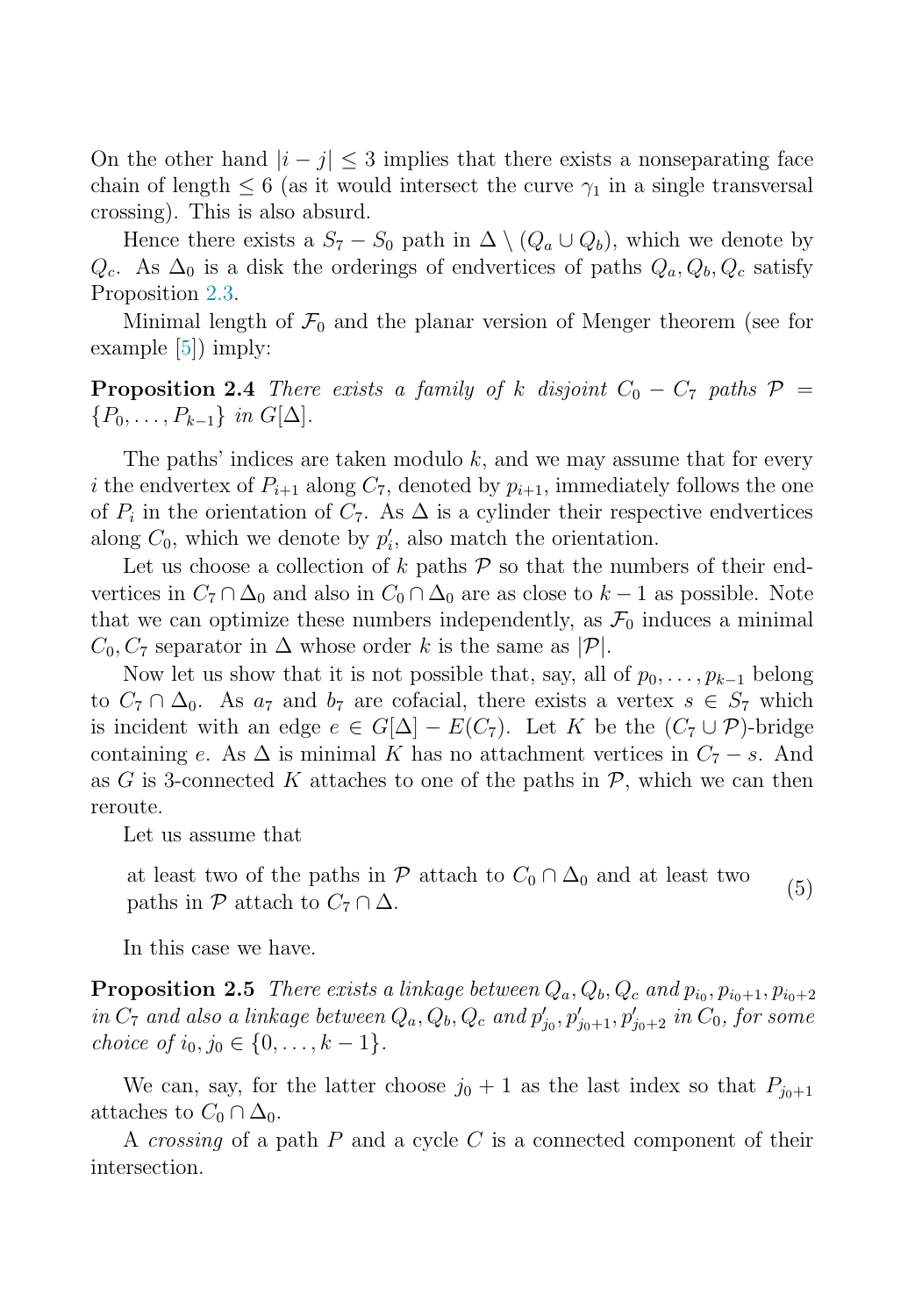<span id="page-5-0"></span>On the other hand  $|i - j| \leq 3$  implies that there exists a nonseparating face chain of length  $\leq 6$  (as it would intersect the curve  $\gamma_1$  in a single transversal crossing). This is also absurd.

Hence there exists a  $S_7 - S_0$  path in  $\Delta \setminus (Q_a \cup Q_b)$ , which we denote by  $Q_c$ . As  $\Delta_0$  is a disk the orderings of endvertices of paths  $Q_a, Q_b, Q_c$  satisfy Proposition [2.3.](#page-3-0)

Minimal length of  $\mathcal{F}_0$  and the planar version of Menger theorem (see for example [\[5\]](#page-7-0)) imply:

**Proposition 2.4** There exists a family of k disjoint  $C_0 - C_7$  paths  $\mathcal{P} =$  ${P_0,\ldots,P_{k-1}}$  in  $G[\Delta]$ .

The paths' indices are taken modulo  $k$ , and we may assume that for every i the endvertex of  $P_{i+1}$  along  $C_7$ , denoted by  $p_{i+1}$ , immediately follows the one of  $P_i$  in the orientation of  $C_7$ . As  $\Delta$  is a cylinder their respective endvertices along  $C_0$ , which we denote by  $p'_i$ , also match the orientation.<br>Let us choose a collection of k paths  $\mathcal{D}$  so that the numb

Let us choose a collection of k paths  $P$  so that the numbers of their endvertices in  $C_7 \cap \Delta_0$  and also in  $C_0 \cap \Delta_0$  are as close to  $k-1$  as possible. Note that we can optimize these numbers independently, as  $\mathcal{F}_0$  induces a minimal  $C_0, C_7$  separator in  $\Delta$  whose order k is the same as  $|\mathcal{P}|$ .

Now let us show that it is not possible that, say, all of  $p_0, \ldots, p_{k-1}$  belong to  $C_7 \cap \Delta_0$ . As  $a_7$  and  $b_7$  are cofacial, there exists a vertex  $s \in S_7$  which is incident with an edge  $e \in G[\Delta] - E(C_7)$ . Let K be the  $(C_7 \cup \mathcal{P})$ -bridge containing e. As  $\Delta$  is minimal K has no attachment vertices in  $C_7 - s$ . And as G is 3-connected K attaches to one of the paths in  $P$ , which we can then reroute.

Let us assume that

at least two of the paths in P attach to  $C_0 \cap \Delta_0$  and at least two paths in P attach to  $C_7 \cap \Delta$ . (5)

In this case we have.

**Proposition 2.5** There exists a linkage between  $Q_a, Q_b, Q_c$  and  $p_{io}, p_{io+1}, p_{io+2}$ in  $C_7$  and also a linkage between  $Q_a, Q_b, Q_c$  and  $p'_{j_0}, p'_{j_0+1}, p'_{j_0+2}$  in  $C_0$ , for some<br>choice of is  $j_0 \in I_0$ ,  $k = 1$ choice of  $i_0, j_0 \in \{0, \ldots, k-1\}.$ 

We can, say, for the latter choose  $j_0 + 1$  as the last index so that  $P_{j_0+1}$ attaches to  $C_0 \cap \Delta_0$ .

A crossing of a path  $P$  and a cycle  $C$  is a connected component of their intersection.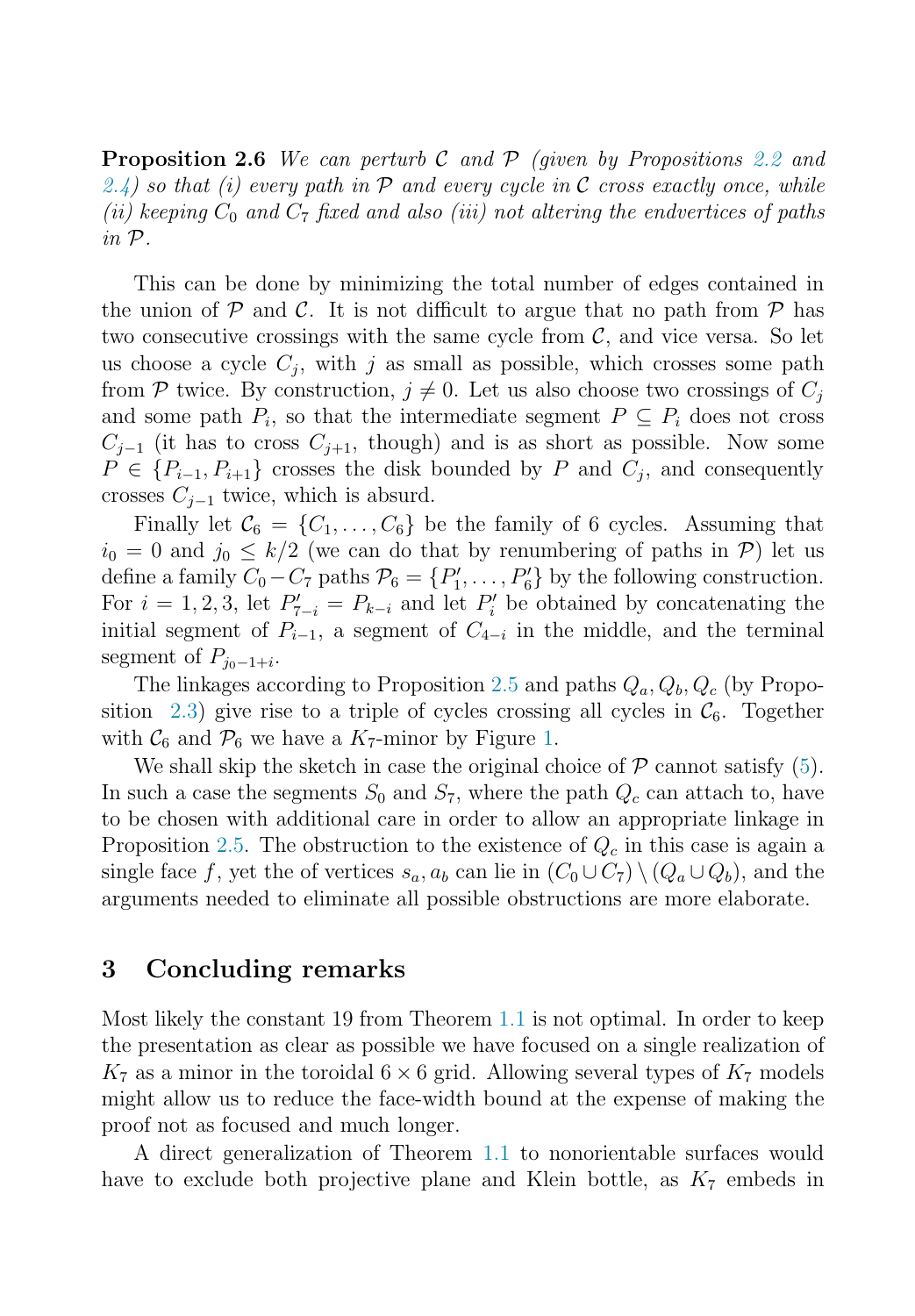**Proposition 2.6** We can perturb C and P (given by Propositions [2.2](#page-3-0) and [2.4\)](#page-5-0) so that (i) every path in  $\mathcal P$  and every cycle in C cross exactly once, while (ii) keeping  $C_0$  and  $C_7$  fixed and also (iii) not altering the endvertices of paths in P.

This can be done by minimizing the total number of edges contained in the union of  $P$  and  $C$ . It is not difficult to argue that no path from  $P$  has two consecutive crossings with the same cycle from  $\mathcal{C}$ , and vice versa. So let us choose a cycle  $C_i$ , with j as small as possible, which crosses some path from P twice. By construction,  $j \neq 0$ . Let us also choose two crossings of  $C_j$ and some path  $P_i$ , so that the intermediate segment  $P \subseteq P_i$  does not cross  $C_{i-1}$  (it has to cross  $C_{i+1}$ , though) and is as short as possible. Now some  $P \in \{P_{i-1}, P_{i+1}\}$  crosses the disk bounded by P and  $C_j$ , and consequently crosses  $C_{j-1}$  twice, which is absurd.

Finally let  $\mathcal{C}_6 = \{C_1, \ldots, C_6\}$  be the family of 6 cycles. Assuming that  $i_0 = 0$  and  $j_0 \leq k/2$  (we can do that by renumbering of paths in P) let us define a family  $C_0 - C_7$  paths  $\mathcal{P}_6 = \{P'_1, \ldots, P'_6\}$  by the following construction.<br>For  $i = 1, 2, 3$  let  $P' = P_1$  and let  $P'$  be obtained by concatenating the For  $i = 1, 2, 3$ , let  $P'_{7-i} = P_{k-i}$  and let  $P'_i$  be obtained by concatenating the initial segment of  $P_{i,j}$ , a segment of  $C_{i,j}$  in the middle and the terminal initial segment of  $P_{i-1}$ , a segment of  $C_{4-i}$  in the middle, and the terminal segment of  $P_{j_0-1+i}$ .

The linkages according to Proposition [2.5](#page-5-0) and paths  $Q_a, Q_b, Q_c$  (by Propo-sition [2.3\)](#page-3-0) give rise to a triple of cycles crossing all cycles in  $\mathcal{C}_6$ . Together with  $\mathcal{C}_6$  and  $\mathcal{P}_6$  we have a  $K_7$ -minor by Figure [1.](#page-2-0)

We shall skip the sketch in case the original choice of  $P$  cannot satisfy [\(5\)](#page-5-0). In such a case the segments  $S_0$  and  $S_7$ , where the path  $Q_c$  can attach to, have to be chosen with additional care in order to allow an appropriate linkage in Proposition [2.5.](#page-5-0) The obstruction to the existence of  $Q_c$  in this case is again a single face f, yet the of vertices  $s_a, a_b$  can lie in  $(C_0 \cup C_7) \setminus (Q_a \cup Q_b)$ , and the arguments needed to eliminate all possible obstructions are more elaborate.

### **3 Concluding remarks**

Most likely the constant 19 from Theorem [1.1](#page-1-0) is not optimal. In order to keep the presentation as clear as possible we have focused on a single realization of  $K_7$  as a minor in the toroidal  $6 \times 6$  grid. Allowing several types of  $K_7$  models might allow us to reduce the face-width bound at the expense of making the proof not as focused and much longer.

A direct generalization of Theorem [1.1](#page-1-0) to nonorientable surfaces would have to exclude both projective plane and Klein bottle, as  $K_7$  embeds in